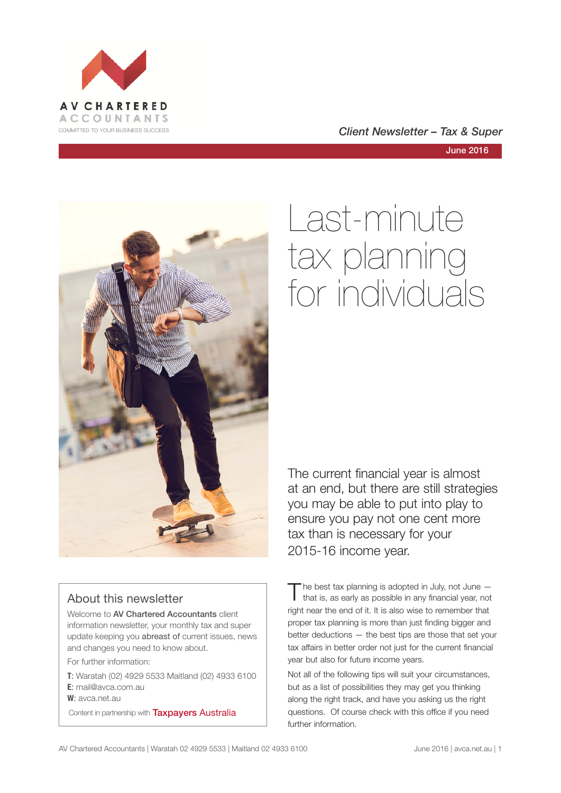

COMMITTED TO YOUR BUSINESS SUCCESS **COMMITTED TO YOUR BUSINESS SUCCESS** 

June 2016



#### About this newsletter

Welcome to AV Chartered Accountants client information newsletter, your monthly tax and super update keeping you abreast of current issues, news and changes you need to know about.

For further information:

**T**: Waratah (02) 4929 5533 Maitland (02) 4933 6100 **E**: mail@avca.com.au

**W**: avca.net.au

Content in partnership with **Taxpayers Australia** 

# Last-minute tax planning for individuals

The current financial year is almost at an end, but there are still strategies you may be able to put into play to ensure you pay not one cent more tax than is necessary for your 2015-16 income year.

The best tax planning is adopted in July, not June –<br>that is, as early as possible in any financial year, not right near the end of it. It is also wise to remember that proper tax planning is more than just finding bigger and better deductions — the best tips are those that set your tax affairs in better order not just for the current financial year but also for future income years.

Not all of the following tips will suit your circumstances, but as a list of possibilities they may get you thinking along the right track, and have you asking us the right questions. Of course check with this office if you need further information.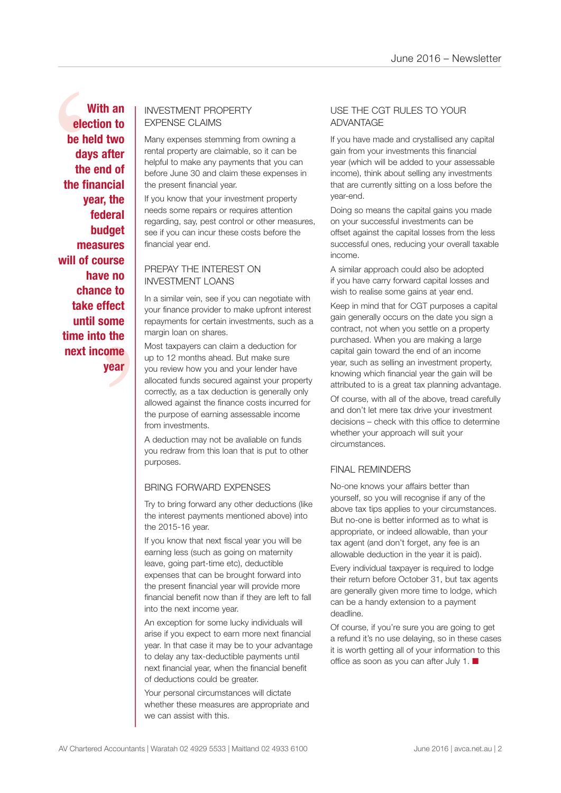e to<br>fect<br>ome<br>the<br>ome<br>year With an EXPENSE CLAIMS<br>
be held two<br>
days after<br>
the end of<br>
the financial<br>
year, the<br>
federal<br>
budget<br>
budget<br>
budget are if you can incur these cos **With an election to be held two days after the end of the financial year, the federal budget measures will of course have no chance to take effect until some time into the next income year**

# EXPENSE CLAIMS

Many expenses stemming from owning a rental property are claimable, so it can be helpful to make any payments that you can before June 30 and claim these expenses in the present financial year.

If you know that your investment property needs some repairs or requires attention regarding, say, pest control or other measures, see if you can incur these costs before the financial year end.

#### PREPAY THE INTEREST ON INVESTMENT LOANS

In a similar vein, see if you can negotiate with your finance provider to make upfront interest repayments for certain investments, such as a margin loan on shares.

Most taxpayers can claim a deduction for up to 12 months ahead. But make sure you review how you and your lender have allocated funds secured against your property correctly, as a tax deduction is generally only allowed against the finance costs incurred for the purpose of earning assessable income from investments.

A deduction may not be avaliable on funds you redraw from this loan that is put to other purposes.

#### BRING FORWARD EXPENSES

Try to bring forward any other deductions (like the interest payments mentioned above) into the 2015-16 year.

If you know that next fiscal year you will be earning less (such as going on maternity leave, going part-time etc), deductible expenses that can be brought forward into the present financial year will provide more financial benefit now than if they are left to fall into the next income year.

An exception for some lucky individuals will arise if you expect to earn more next financial year. In that case it may be to your advantage to delay any tax-deductible payments until next financial year, when the financial benefit of deductions could be greater.

Your personal circumstances will dictate whether these measures are appropriate and we can assist with this.

#### USE THE CGT RULES TO YOUR ADVANTAGE

If you have made and crystallised any capital gain from your investments this financial year (which will be added to your assessable income), think about selling any investments that are currently sitting on a loss before the year-end.

Doing so means the capital gains you made on your successful investments can be offset against the capital losses from the less successful ones, reducing your overall taxable income.

A similar approach could also be adopted if you have carry forward capital losses and wish to realise some gains at year end.

Keep in mind that for CGT purposes a capital gain generally occurs on the date you sign a contract, not when you settle on a property purchased. When you are making a large capital gain toward the end of an income year, such as selling an investment property, knowing which financial year the gain will be attributed to is a great tax planning advantage.

Of course, with all of the above, tread carefully and don't let mere tax drive your investment decisions – check with this office to determine whether your approach will suit your circumstances.

#### FINAL REMINDERS

No-one knows your affairs better than yourself, so you will recognise if any of the above tax tips applies to your circumstances. But no-one is better informed as to what is appropriate, or indeed allowable, than your tax agent (and don't forget, any fee is an allowable deduction in the year it is paid).

Every individual taxpayer is required to lodge their return before October 31, but tax agents are generally given more time to lodge, which can be a handy extension to a payment deadline.

Of course, if you're sure you are going to get a refund it's no use delaying, so in these cases it is worth getting all of your information to this office as soon as you can after July 1.  $\blacksquare$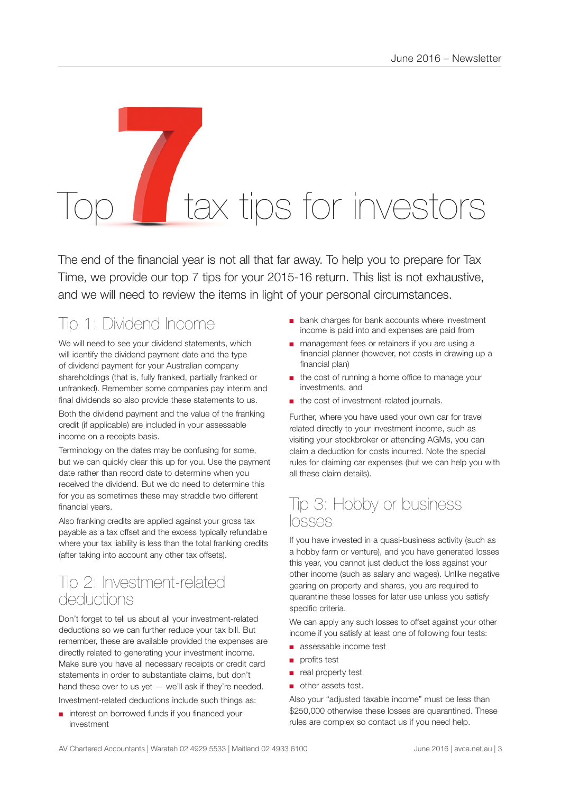# tax tips for investors

The end of the financial year is not all that far away. To help you to prepare for Tax Time, we provide our top 7 tips for your 2015-16 return. This list is not exhaustive, and we will need to review the items in light of your personal circumstances.

# Tip 1: Dividend Income

We will need to see your dividend statements, which will identify the dividend payment date and the type of dividend payment for your Australian company shareholdings (that is, fully franked, partially franked or unfranked). Remember some companies pay interim and final dividends so also provide these statements to us. Both the dividend payment and the value of the franking

credit (if applicable) are included in your assessable income on a receipts basis.

Terminology on the dates may be confusing for some, but we can quickly clear this up for you. Use the payment date rather than record date to determine when you received the dividend. But we do need to determine this for you as sometimes these may straddle two different financial years.

Also franking credits are applied against your gross tax payable as a tax offset and the excess typically refundable where your tax liability is less than the total franking credits (after taking into account any other tax offsets).

## Tip 2: Investment-related deductions

Don't forget to tell us about all your investment-related deductions so we can further reduce your tax bill. But remember, these are available provided the expenses are directly related to generating your investment income. Make sure you have all necessary receipts or credit card statements in order to substantiate claims, but don't hand these over to us yet  $-$  we'll ask if they're needed. Investment-related deductions include such things as:

interest on borrowed funds if you financed your investment

- bank charges for bank accounts where investment income is paid into and expenses are paid from
- management fees or retainers if you are using a financial planner (however, not costs in drawing up a financial plan)
- the cost of running a home office to manage your investments, and
- the cost of investment-related journals.

Further, where you have used your own car for travel related directly to your investment income, such as visiting your stockbroker or attending AGMs, you can claim a deduction for costs incurred. Note the special rules for claiming car expenses (but we can help you with all these claim details).

### Tip 3: Hobby or business losses

If you have invested in a quasi-business activity (such as a hobby farm or venture), and you have generated losses this year, you cannot just deduct the loss against your other income (such as salary and wages). Unlike negative gearing on property and shares, you are required to quarantine these losses for later use unless you satisfy specific criteria.

We can apply any such losses to offset against your other income if you satisfy at least one of following four tests:

- assessable income test
- profits test
- real property test
- other assets test.

Also your "adjusted taxable income" must be less than \$250,000 otherwise these losses are quarantined. These rules are complex so contact us if you need help.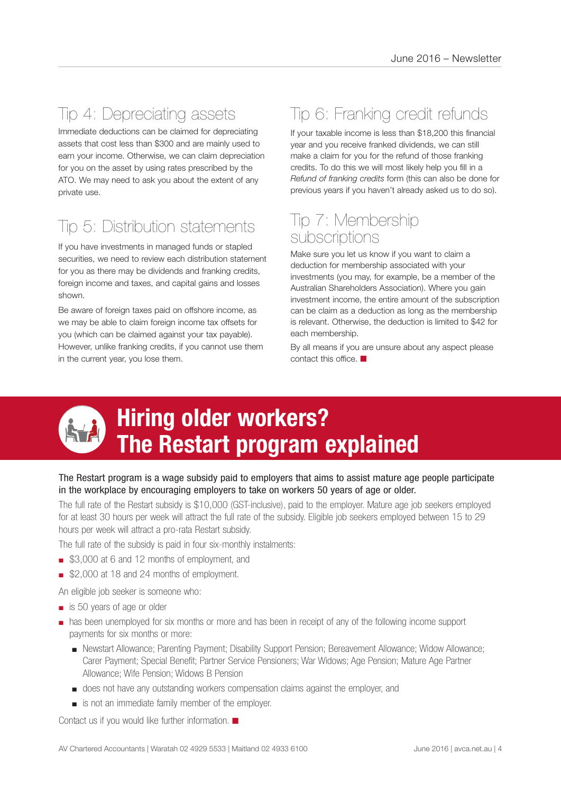# Tip 4: Depreciating assets

Immediate deductions can be claimed for depreciating assets that cost less than \$300 and are mainly used to earn your income. Otherwise, we can claim depreciation for you on the asset by using rates prescribed by the ATO. We may need to ask you about the extent of any private use.

# Tip 5: Distribution statements

If you have investments in managed funds or stapled securities, we need to review each distribution statement for you as there may be dividends and franking credits, foreign income and taxes, and capital gains and losses shown.

Be aware of foreign taxes paid on offshore income, as we may be able to claim foreign income tax offsets for you (which can be claimed against your tax payable). However, unlike franking credits, if you cannot use them in the current year, you lose them.

# Tip 6: Franking credit refunds

If your taxable income is less than \$18,200 this financial year and you receive franked dividends, we can still make a claim for you for the refund of those franking credits. To do this we will most likely help you fill in a *Refund of franking credits* form (this can also be done for previous years if you haven't already asked us to do so).

## Tip 7: Membership subscriptions

Make sure you let us know if you want to claim a deduction for membership associated with your investments (you may, for example, be a member of the Australian Shareholders Association). Where you gain investment income, the entire amount of the subscription can be claim as a deduction as long as the membership is relevant. Otherwise, the deduction is limited to \$42 for each membership.

By all means if you are unsure about any aspect please contact this office.  $\blacksquare$ 



# **Hiring older workers? The Restart program explained**

#### The Restart program is a wage subsidy paid to employers that aims to assist mature age people participate in the workplace by encouraging employers to take on workers 50 years of age or older.

The full rate of the Restart subsidy is \$10,000 (GST-inclusive), paid to the employer. Mature age job seekers employed for at least 30 hours per week will attract the full rate of the subsidy. Eligible job seekers employed between 15 to 29 hours per week will attract a pro-rata Restart subsidy.

The full rate of the subsidy is paid in four six-monthly instalments:

- \$3,000 at 6 and 12 months of employment, and
- \$2,000 at 18 and 24 months of employment.
- An eligible job seeker is someone who:
- is 50 years of age or older
- has been unemployed for six months or more and has been in receipt of any of the following income support payments for six months or more:
	- Newstart Allowance; Parenting Payment; Disability Support Pension; Bereavement Allowance; Widow Allowance; Carer Payment; Special Benefit; Partner Service Pensioners; War Widows; Age Pension; Mature Age Partner Allowance; Wife Pension; Widows B Pension
	- does not have any outstanding workers compensation claims against the employer, and
	- is not an immediate family member of the employer.

Contact us if you would like further information.  $\blacksquare$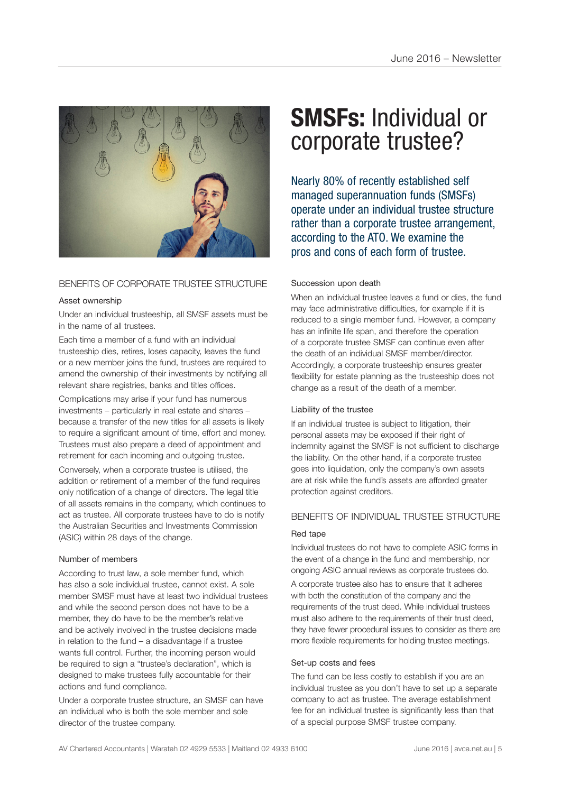

#### BENEFITS OF CORPORATE TRUSTEE STRUCTURE

#### Asset ownership

Under an individual trusteeship, all SMSF assets must be in the name of all trustees.

Each time a member of a fund with an individual trusteeship dies, retires, loses capacity, leaves the fund or a new member joins the fund, trustees are required to amend the ownership of their investments by notifying all relevant share registries, banks and titles offices.

Complications may arise if your fund has numerous investments – particularly in real estate and shares – because a transfer of the new titles for all assets is likely to require a significant amount of time, effort and money. Trustees must also prepare a deed of appointment and retirement for each incoming and outgoing trustee.

Conversely, when a corporate trustee is utilised, the addition or retirement of a member of the fund requires only notification of a change of directors. The legal title of all assets remains in the company, which continues to act as trustee. All corporate trustees have to do is notify the Australian Securities and Investments Commission (ASIC) within 28 days of the change.

#### Number of members

According to trust law, a sole member fund, which has also a sole individual trustee, cannot exist. A sole member SMSF must have at least two individual trustees and while the second person does not have to be a member, they do have to be the member's relative and be actively involved in the trustee decisions made in relation to the fund  $-$  a disadvantage if a trustee wants full control. Further, the incoming person would be required to sign a "trustee's declaration", which is designed to make trustees fully accountable for their actions and fund compliance.

Under a corporate trustee structure, an SMSF can have an individual who is both the sole member and sole director of the trustee company.

# **SMSFs:** Individual or corporate trustee?

Nearly 80% of recently established self managed superannuation funds (SMSFs) operate under an individual trustee structure rather than a corporate trustee arrangement, according to the ATO. We examine the pros and cons of each form of trustee.

#### Succession upon death

When an individual trustee leaves a fund or dies, the fund may face administrative difficulties, for example if it is reduced to a single member fund. However, a company has an infinite life span, and therefore the operation of a corporate trustee SMSF can continue even after the death of an individual SMSF member/director. Accordingly, a corporate trusteeship ensures greater flexibility for estate planning as the trusteeship does not change as a result of the death of a member.

#### Liability of the trustee

If an individual trustee is subject to litigation, their personal assets may be exposed if their right of indemnity against the SMSF is not sufficient to discharge the liability. On the other hand, if a corporate trustee goes into liquidation, only the company's own assets are at risk while the fund's assets are afforded greater protection against creditors.

#### BENEFITS OF INDIVIDUAL TRUSTEE STRUCTURE

#### Red tape

Individual trustees do not have to complete ASIC forms in the event of a change in the fund and membership, nor ongoing ASIC annual reviews as corporate trustees do.

A corporate trustee also has to ensure that it adheres with both the constitution of the company and the requirements of the trust deed. While individual trustees must also adhere to the requirements of their trust deed, they have fewer procedural issues to consider as there are more flexible requirements for holding trustee meetings.

#### Set-up costs and fees

The fund can be less costly to establish if you are an individual trustee as you don't have to set up a separate company to act as trustee. The average establishment fee for an individual trustee is significantly less than that of a special purpose SMSF trustee company.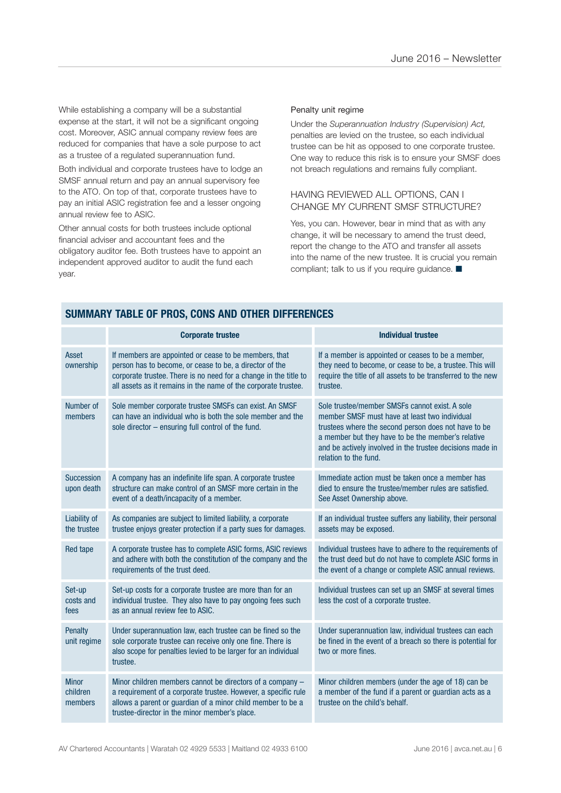While establishing a company will be a substantial expense at the start, it will not be a significant ongoing cost. Moreover, ASIC annual company review fees are reduced for companies that have a sole purpose to act as a trustee of a regulated superannuation fund.

Both individual and corporate trustees have to lodge an SMSF annual return and pay an annual supervisory fee to the ATO. On top of that, corporate trustees have to pay an initial ASIC registration fee and a lesser ongoing annual review fee to ASIC.

Other annual costs for both trustees include optional financial adviser and accountant fees and the obligatory auditor fee. Both trustees have to appoint an independent approved auditor to audit the fund each year.

#### Penalty unit regime

Under the *Superannuation Industry (Supervision) Act,* penalties are levied on the trustee, so each individual trustee can be hit as opposed to one corporate trustee. One way to reduce this risk is to ensure your SMSF does not breach regulations and remains fully compliant.

#### HAVING REVIEWED ALL OPTIONS, CAN I CHANGE MY CURRENT SMSF STRUCTURE?

Yes, you can. However, bear in mind that as with any change, it will be necessary to amend the trust deed, report the change to the ATO and transfer all assets into the name of the new trustee. It is crucial you remain compliant; talk to us if you require guidance.  $\blacksquare$ 

|                                     | <b>Corporate trustee</b>                                                                                                                                                                                                                               | <b>Individual trustee</b>                                                                                                                                                                                                                                                                           |
|-------------------------------------|--------------------------------------------------------------------------------------------------------------------------------------------------------------------------------------------------------------------------------------------------------|-----------------------------------------------------------------------------------------------------------------------------------------------------------------------------------------------------------------------------------------------------------------------------------------------------|
| Asset<br>ownership                  | If members are appointed or cease to be members, that<br>person has to become, or cease to be, a director of the<br>corporate trustee. There is no need for a change in the title to<br>all assets as it remains in the name of the corporate trustee. | If a member is appointed or ceases to be a member,<br>they need to become, or cease to be, a trustee. This will<br>require the title of all assets to be transferred to the new<br>trustee.                                                                                                         |
| Number of<br>members                | Sole member corporate trustee SMSFs can exist. An SMSF<br>can have an individual who is both the sole member and the<br>sole director - ensuring full control of the fund.                                                                             | Sole trustee/member SMSFs cannot exist. A sole<br>member SMSF must have at least two individual<br>trustees where the second person does not have to be<br>a member but they have to be the member's relative<br>and be actively involved in the trustee decisions made in<br>relation to the fund. |
| <b>Succession</b><br>upon death     | A company has an indefinite life span. A corporate trustee<br>structure can make control of an SMSF more certain in the<br>event of a death/incapacity of a member.                                                                                    | Immediate action must be taken once a member has<br>died to ensure the trustee/member rules are satisfied.<br>See Asset Ownership above.                                                                                                                                                            |
| Liability of<br>the trustee         | As companies are subject to limited liability, a corporate<br>trustee enjoys greater protection if a party sues for damages.                                                                                                                           | If an individual trustee suffers any liability, their personal<br>assets may be exposed.                                                                                                                                                                                                            |
| Red tape                            | A corporate trustee has to complete ASIC forms, ASIC reviews<br>and adhere with both the constitution of the company and the<br>requirements of the trust deed.                                                                                        | Individual trustees have to adhere to the requirements of<br>the trust deed but do not have to complete ASIC forms in<br>the event of a change or complete ASIC annual reviews.                                                                                                                     |
| Set-up<br>costs and<br>fees         | Set-up costs for a corporate trustee are more than for an<br>individual trustee. They also have to pay ongoing fees such<br>as an annual review fee to ASIC.                                                                                           | Individual trustees can set up an SMSF at several times<br>less the cost of a corporate trustee.                                                                                                                                                                                                    |
| <b>Penalty</b><br>unit regime       | Under superannuation law, each trustee can be fined so the<br>sole corporate trustee can receive only one fine. There is<br>also scope for penalties levied to be larger for an individual<br>trustee.                                                 | Under superannuation law, individual trustees can each<br>be fined in the event of a breach so there is potential for<br>two or more fines.                                                                                                                                                         |
| <b>Minor</b><br>children<br>members | Minor children members cannot be directors of a company -<br>a requirement of a corporate trustee. However, a specific rule<br>allows a parent or guardian of a minor child member to be a<br>trustee-director in the minor member's place.            | Minor children members (under the age of 18) can be<br>a member of the fund if a parent or guardian acts as a<br>trustee on the child's behalf.                                                                                                                                                     |

#### **SUMMARY TABLE OF PROS, CONS AND OTHER DIFFERENCES**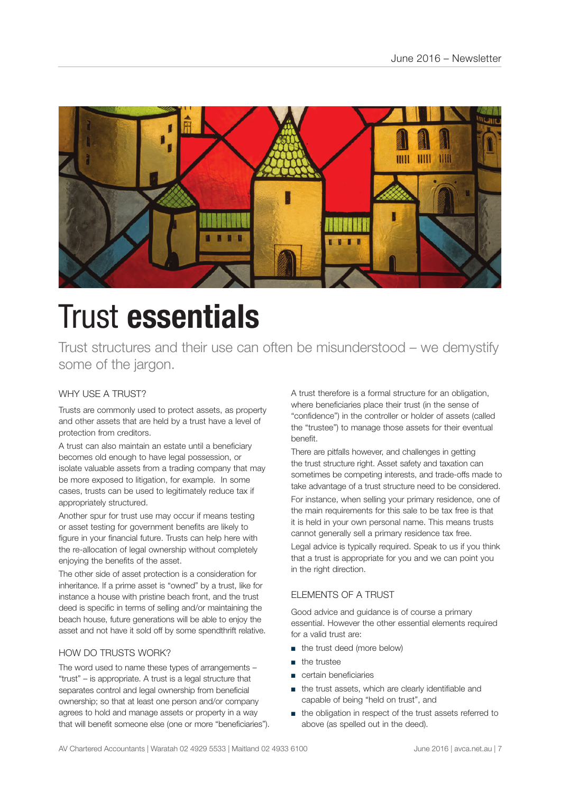

# Trust **essentials**

Trust structures and their use can often be misunderstood – we demystify some of the jargon.

#### WHY USE A TRUST?

Trusts are commonly used to protect assets, as property and other assets that are held by a trust have a level of protection from creditors.

A trust can also maintain an estate until a beneficiary becomes old enough to have legal possession, or isolate valuable assets from a trading company that may be more exposed to litigation, for example. In some cases, trusts can be used to legitimately reduce tax if appropriately structured.

Another spur for trust use may occur if means testing or asset testing for government benefits are likely to figure in your financial future. Trusts can help here with the re-allocation of legal ownership without completely enjoying the benefits of the asset.

The other side of asset protection is a consideration for inheritance. If a prime asset is "owned" by a trust, like for instance a house with pristine beach front, and the trust deed is specific in terms of selling and/or maintaining the beach house, future generations will be able to enjoy the asset and not have it sold off by some spendthrift relative.

#### HOW DO TRUSTS WORK?

The word used to name these types of arrangements – "trust" – is appropriate. A trust is a legal structure that separates control and legal ownership from beneficial ownership; so that at least one person and/or company agrees to hold and manage assets or property in a way that will benefit someone else (one or more "beneficiaries"). A trust therefore is a formal structure for an obligation, where beneficiaries place their trust (in the sense of "confidence") in the controller or holder of assets (called the "trustee") to manage those assets for their eventual benefit.

There are pitfalls however, and challenges in getting the trust structure right. Asset safety and taxation can sometimes be competing interests, and trade-offs made to take advantage of a trust structure need to be considered.

For instance, when selling your primary residence, one of the main requirements for this sale to be tax free is that it is held in your own personal name. This means trusts cannot generally sell a primary residence tax free.

Legal advice is typically required. Speak to us if you think that a trust is appropriate for you and we can point you in the right direction.

#### ELEMENTS OF A TRUST

Good advice and guidance is of course a primary essential. However the other essential elements required for a valid trust are:

- the trust deed (more below)
- the trustee
- certain beneficiaries
- the trust assets, which are clearly identifiable and capable of being "held on trust", and
- the obligation in respect of the trust assets referred to above (as spelled out in the deed).